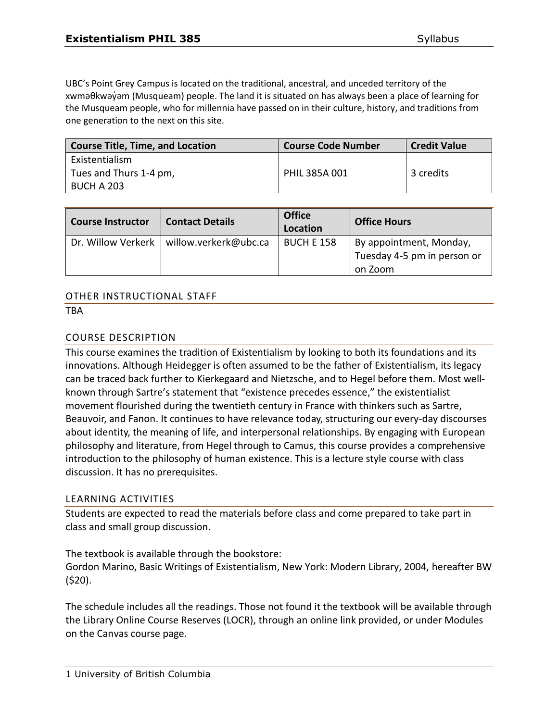UBC's Point Grey Campus is located on the traditional, ancestral, and unceded territory of the xwməθkwəy̓əm (Musqueam) people. The land it is situated on has always been a place of learning for the Musqueam people, who for millennia have passed on in their culture, history, and traditions from one generation to the next on this site.

| <b>Course Title, Time, and Location</b> | <b>Course Code Number</b> | <b>Credit Value</b> |
|-----------------------------------------|---------------------------|---------------------|
| Existentialism                          |                           |                     |
| Tues and Thurs 1-4 pm,                  | PHIL 385A 001             | 3 credits           |
| BUCH A 203                              |                           |                     |

| <b>Course Instructor</b> | <b>Contact Details</b> | <b>Office</b><br>Location | <b>Office Hours</b>                                    |
|--------------------------|------------------------|---------------------------|--------------------------------------------------------|
| Dr. Willow Verkerk       | willow.verkerk@ubc.ca  | <b>BUCH E 158</b>         | By appointment, Monday,<br>Tuesday 4-5 pm in person or |
|                          |                        |                           | on Zoom                                                |

#### OTHER INSTRUCTIONAL STAFF

**TRA** 

#### COURSE DESCRIPTION

This course examines the tradition of Existentialism by looking to both its foundations and its innovations. Although Heidegger is often assumed to be the father of Existentialism, its legacy can be traced back further to Kierkegaard and Nietzsche, and to Hegel before them. Most wellknown through Sartre's statement that "existence precedes essence," the existentialist movement flourished during the twentieth century in France with thinkers such as Sartre, Beauvoir, and Fanon. It continues to have relevance today, structuring our every-day discourses about identity, the meaning of life, and interpersonal relationships. By engaging with European philosophy and literature, from Hegel through to Camus, this course provides a comprehensive introduction to the philosophy of human existence. This is a lecture style course with class discussion. It has no prerequisites.

#### LEARNING ACTIVITIES

Students are expected to read the materials before class and come prepared to take part in class and small group discussion.

The textbook is available through the bookstore:

Gordon Marino, Basic Writings of Existentialism, New York: Modern Library, 2004, hereafter BW (\$20).

The schedule includes all the readings. Those not found it the textbook will be available through the Library Online Course Reserves (LOCR), through an online link provided, or under Modules on the Canvas course page.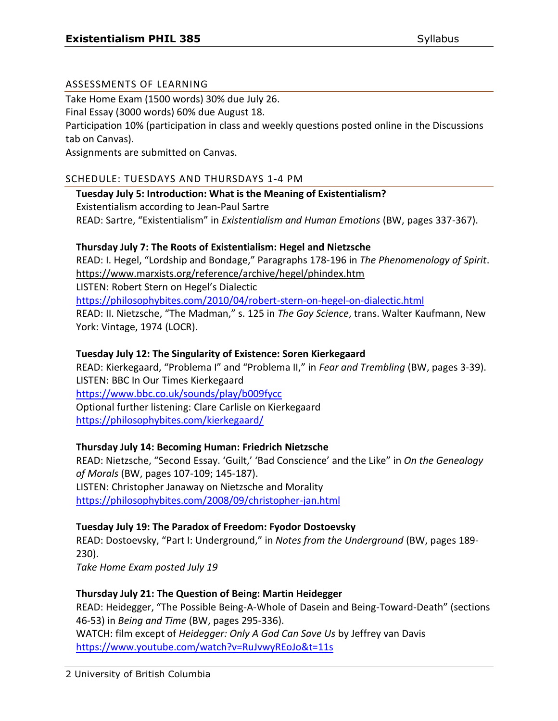## ASSESSMENTS OF LEARNING

Take Home Exam (1500 words) 30% due July 26.

Final Essay (3000 words) 60% due August 18.

Participation 10% (participation in class and weekly questions posted online in the Discussions tab on Canvas).

Assignments are submitted on Canvas.

## SCHEDULE: TUESDAYS AND THURSDAYS 1-4 PM

**Tuesday July 5: Introduction: What is the Meaning of Existentialism?**  Existentialism according to Jean-Paul Sartre READ: Sartre, "Existentialism" in *Existentialism and Human Emotions* (BW, pages 337-367).

# **Thursday July 7: The Roots of Existentialism: Hegel and Nietzsche**

READ: I. Hegel, "Lordship and Bondage," Paragraphs 178-196 in *The Phenomenology of Spirit*. <https://www.marxists.org/reference/archive/hegel/phindex.htm>

LISTEN: Robert Stern on Hegel's Dialectic <https://philosophybites.com/2010/04/robert-stern-on-hegel-on-dialectic.html> READ: II. Nietzsche, "The Madman," s. 125 in *The Gay Science*, trans. Walter Kaufmann, New York: Vintage, 1974 (LOCR).

# **Tuesday July 12: The Singularity of Existence: Soren Kierkegaard**

READ: Kierkegaard, "Problema I" and "Problema II," in *Fear and Trembling* (BW, pages 3-39). LISTEN: BBC In Our Times Kierkegaard <https://www.bbc.co.uk/sounds/play/b009fycc> Optional further listening: Clare Carlisle on Kierkegaard <https://philosophybites.com/kierkegaard/>

# **Thursday July 14: Becoming Human: Friedrich Nietzsche**

READ: Nietzsche, "Second Essay. 'Guilt,' 'Bad Conscience' and the Like" in *On the Genealogy of Morals* (BW, pages 107-109; 145-187). LISTEN: Christopher Janaway on Nietzsche and Morality <https://philosophybites.com/2008/09/christopher-jan.html>

## **Tuesday July 19: The Paradox of Freedom: Fyodor Dostoevsky**

READ: Dostoevsky, "Part I: Underground," in *Notes from the Underground* (BW, pages 189- 230).

*Take Home Exam posted July 19*

## **Thursday July 21: The Question of Being: Martin Heidegger**

READ: Heidegger, "The Possible Being-A-Whole of Dasein and Being-Toward-Death" (sections 46-53) in *Being and Time* (BW, pages 295-336). WATCH: film except of *Heidegger: Only A God Can Save Us* by Jeffrey van Davis <https://www.youtube.com/watch?v=RuJvwyREoJo&t=11s>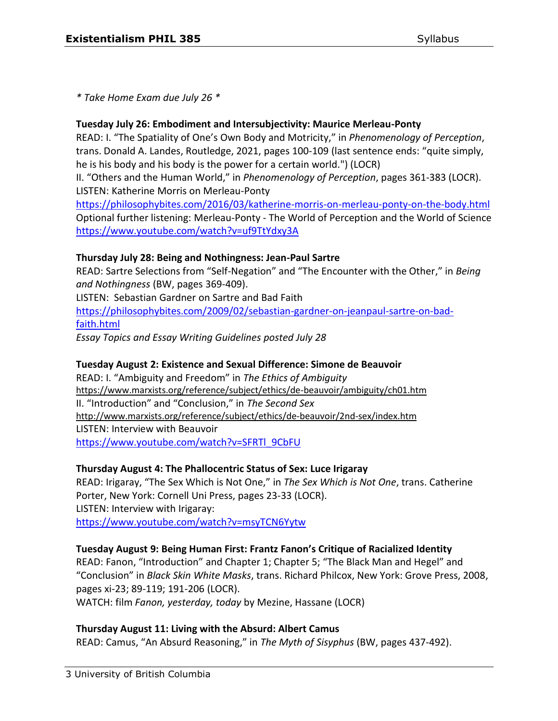*\* Take Home Exam due July 26 \**

## **Tuesday July 26: Embodiment and Intersubjectivity: Maurice Merleau-Ponty**

READ: I. "The Spatiality of One's Own Body and Motricity," in *Phenomenology of Perception*, trans. Donald A. Landes, Routledge, 2021, pages 100-109 (last sentence ends: "quite simply, he is his body and his body is the power for a certain world.") (LOCR)

II. "Others and the Human World," in *Phenomenology of Perception*, pages 361-383 (LOCR). LISTEN: Katherine Morris on Merleau-Ponty

<https://philosophybites.com/2016/03/katherine-morris-on-merleau-ponty-on-the-body.html> Optional further listening: Merleau-Ponty - The World of Perception and the World of Science <https://www.youtube.com/watch?v=uf9TtYdxy3A>

## **Thursday July 28: Being and Nothingness: Jean-Paul Sartre**

READ: Sartre Selections from "Self-Negation" and "The Encounter with the Other," in *Being and Nothingness* (BW, pages 369-409).

LISTEN: Sebastian Gardner on Sartre and Bad Faith [https://philosophybites.com/2009/02/sebastian-gardner-on-jeanpaul-sartre-on-bad](https://philosophybites.com/2009/02/sebastian-gardner-on-jeanpaul-sartre-on-bad-faith.html)[faith.html](https://philosophybites.com/2009/02/sebastian-gardner-on-jeanpaul-sartre-on-bad-faith.html)

*Essay Topics and Essay Writing Guidelines posted July 28*

#### **Tuesday August 2: Existence and Sexual Difference: Simone de Beauvoir**

READ: I. "Ambiguity and Freedom" in *The Ethics of Ambiguity* <https://www.marxists.org/reference/subject/ethics/de-beauvoir/ambiguity/ch01.htm> II. "Introduction" and "Conclusion," in *The Second Sex* <http://www.marxists.org/reference/subject/ethics/de-beauvoir/2nd-sex/index.htm> LISTEN: Interview with Beauvoir [https://www.youtube.com/watch?v=SFRTl\\_9CbFU](https://www.youtube.com/watch?v=SFRTl_9CbFU)

## **Thursday August 4: The Phallocentric Status of Sex: Luce Irigaray**

READ: Irigaray, "The Sex Which is Not One," in *The Sex Which is Not One*, trans. Catherine Porter, New York: Cornell Uni Press, pages 23-33 (LOCR). LISTEN: Interview with Irigaray: <https://www.youtube.com/watch?v=msyTCN6Yytw>

## **Tuesday August 9: Being Human First: Frantz Fanon's Critique of Racialized Identity**

READ: Fanon, "Introduction" and Chapter 1; Chapter 5; "The Black Man and Hegel" and "Conclusion" in *Black Skin White Masks*, trans. Richard Philcox, New York: Grove Press, 2008, pages xi-23; 89-119; 191-206 (LOCR).

WATCH: film *Fanon, yesterday, today* by Mezine, Hassane (LOCR)

## **Thursday August 11: Living with the Absurd: Albert Camus**

READ: Camus, "An Absurd Reasoning," in *The Myth of Sisyphus* (BW, pages 437-492).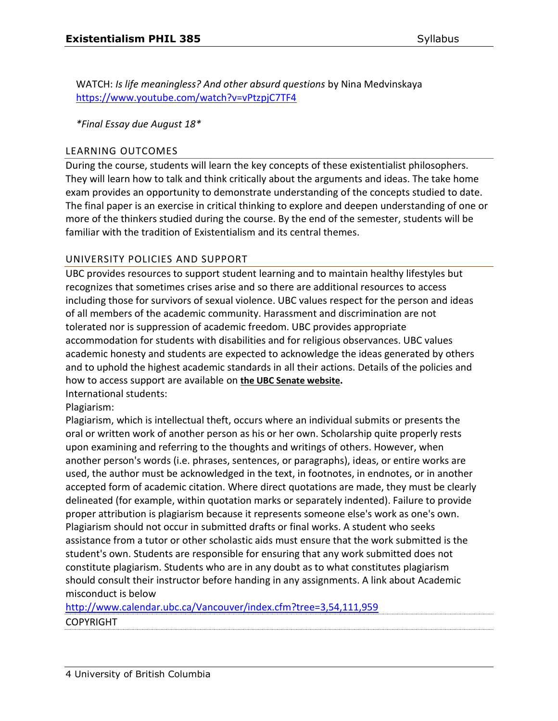WATCH: *Is life meaningless? And other absurd questions* by Nina Medvinskaya <https://www.youtube.com/watch?v=vPtzpjC7TF4>

*\*Final Essay due August 18\**

#### LEARNING OUTCOMES

During the course, students will learn the key concepts of these existentialist philosophers. They will learn how to talk and think critically about the arguments and ideas. The take home exam provides an opportunity to demonstrate understanding of the concepts studied to date. The final paper is an exercise in critical thinking to explore and deepen understanding of one or more of the thinkers studied during the course. By the end of the semester, students will be familiar with the tradition of Existentialism and its central themes.

#### UNIVERSITY POLICIES AND SUPPORT

UBC provides resources to support student learning and to maintain healthy lifestyles but recognizes that sometimes crises arise and so there are additional resources to access including those for survivors of sexual violence. UBC values respect for the person and ideas of all members of the academic community. Harassment and discrimination are not tolerated nor is suppression of academic freedom. UBC provides appropriate accommodation for students with disabilities and for religious observances. UBC values academic honesty and students are expected to acknowledge the ideas generated by others and to uphold the highest academic standards in all their actions. Details of the policies and how to access support are available on **[the UBC Senate website](https://senate.ubc.ca/policies-resources-support-student-success).** International students:

Plagiarism:

Plagiarism, which is intellectual theft, occurs where an individual submits or presents the oral or written work of another person as his or her own. Scholarship quite properly rests upon examining and referring to the thoughts and writings of others. However, when another person's words (i.e. phrases, sentences, or paragraphs), ideas, or entire works are used, the author must be acknowledged in the text, in footnotes, in endnotes, or in another accepted form of academic citation. Where direct quotations are made, they must be clearly delineated (for example, within quotation marks or separately indented). Failure to provide proper attribution is plagiarism because it represents someone else's work as one's own. Plagiarism should not occur in submitted drafts or final works. A student who seeks assistance from a tutor or other scholastic aids must ensure that the work submitted is the student's own. Students are responsible for ensuring that any work submitted does not constitute plagiarism. Students who are in any doubt as to what constitutes plagiarism should consult their instructor before handing in any assignments. A link about Academic misconduct is below

<http://www.calendar.ubc.ca/Vancouver/index.cfm?tree=3,54,111,959> **COPYRIGHT**